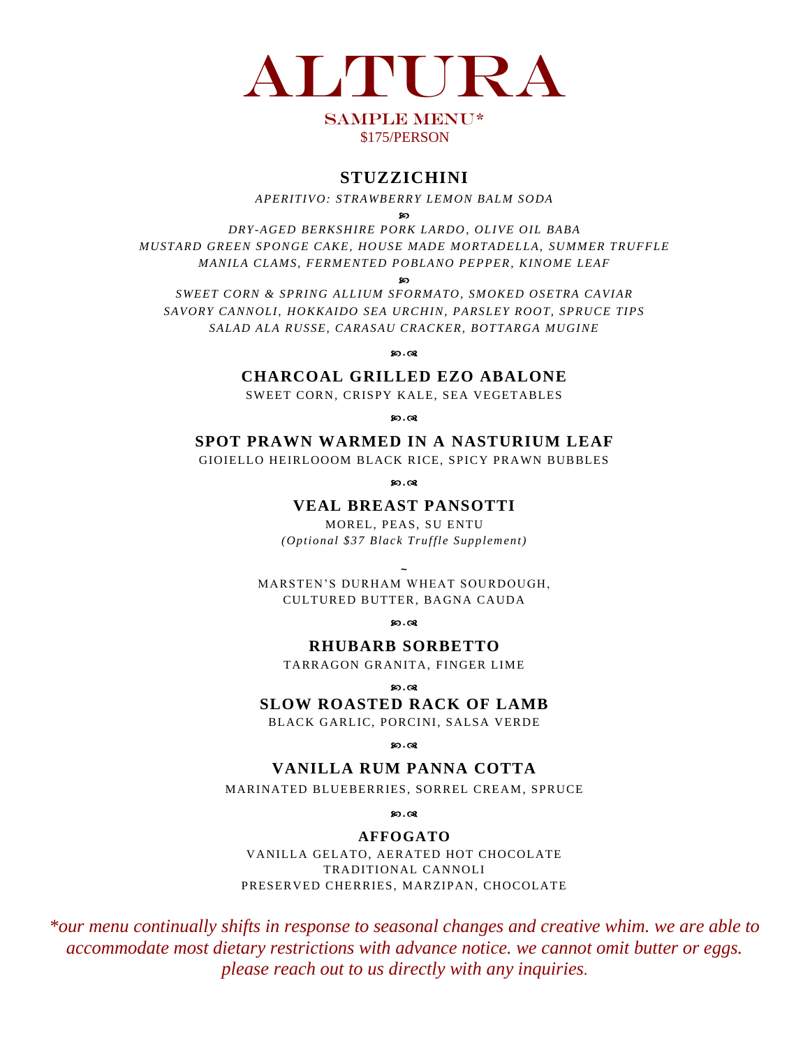

## SAMPLE MENU\* \$175/PERSON

# **STUZZICHINI**

*APERITIVO: STRAWBERRY LEMON BALM S ODA*

മെ

*DRY-AGED BERKS HIRE PORK LARDO, OLIVE OIL BABA MUSTARD GREEN SPONGE CAKE, HOUSE MADE M ORTADELLA, SUMMER TRUFFLE MANILA CLAMS, FERMENTED POBLANO PEPPER, KINOME LEAF*

80

*SWEET CORN & SPRING ALLIUM SFORMATO, SM OKED OSETRA CAVIAR SAVORY CANNOLI, HOKKAIDO SEA URCHIN, PARSLEY ROOT, SPRUCE TIPS SALAD ALA RUSSE, CARASAU CRACKER, BOTTARGA MUGINE*

**80.08** 

**CHARCOAL GRILLED EZO ABALONE**

SWEET CORN, CRISPY KALE, SEA VEGETABLES

80.08

**SPOT PRAWN WARMED IN A NASTURIUM LEAF**

GIOIELLO HEIRLOOOM BLACK RICE, SPICY PRAWN BUBBLES

**.**

## **VEAL BREAST PANSOTTI**

MOREL, PEAS, SU ENTU *(Optional \$37 Black Truffle Supplement)*

**~** MARSTEN'S DURHAM WHEAT SOURDOUGH, CULTURED BUTTER, BAGNA CAUDA

80.08

**RHUBARB SORBETTO**

TARRAGON GRANITA, FINGER LIME

**.**

### **SLOW ROASTED RACK OF LAMB**

BLACK GARLIC, PORCINI, SALSA VERDE

80.08

**VANILLA RUM PANNA COTTA**

MARINATED BLUEBERRIES, SORREL CREAM, SPRUCE

**80.08** 

#### **AFFOGATO**

VANILLA GELATO, AERATED HOT CHOCOLATE TRADITIONAL CANNOLI PRESERVED CHERRIES, MARZIPAN, CHOCOLATE

*\*our menu continually shifts in response to seasonal changes and creative whim. we are able to accommodate most dietary restrictions with advance notice. we cannot omit butter or eggs. please reach out to us directly with any inquiries.*